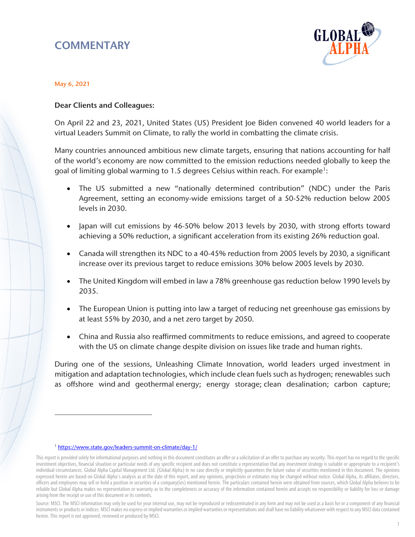# **COMMENTARY**



#### May 6, 2021

#### Dear Clients and Colleagues:

On April 22 and 23, 2021, United States (US) President Joe Biden convened 40 world leaders for a virtual Leaders Summit on Climate, to rally the world in combatting the climate crisis.

Many countries announced ambitious new climate targets, ensuring that nations accounting for half of the world's economy are now committed to the emission reductions needed globally to keep the goal of limiting global warming to 1.5 degrees Celsius within reach. For example<sup>1</sup>:

- The US submitted a new "nationally determined contribution" (NDC) under the Paris Agreement, setting an economy-wide emissions target of a 50-52% reduction below 2005 levels in 2030.
- Japan will cut emissions by 46-50% below 2013 levels by 2030, with strong efforts toward achieving a 50% reduction, a significant acceleration from its existing 26% reduction goal.
- Canada will strengthen its NDC to a 40-45% reduction from 2005 levels by 2030, a significant increase over its previous target to reduce emissions 30% below 2005 levels by 2030.
- The United Kingdom will embed in law a 78% greenhouse gas reduction below 1990 levels by 2035.
- The European Union is putting into law a target of reducing net greenhouse gas emissions by at least 55% by 2030, and a net zero target by 2050.
- China and Russia also reaffirmed commitments to reduce emissions, and agreed to cooperate with the US on climate change despite division on issues like trade and human rights.

During one of the sessions, Unleashing Climate Innovation, world leaders urged investment in mitigation and adaptation technologies, which include clean fuels such as hydrogen; renewables such as offshore wind and geothermal energy; energy storage; clean desalination; carbon capture;

 $\overline{a}$ 

<sup>1</sup> <https://www.state.gov/leaders-summit-on-climate/day-1/>

<span id="page-0-0"></span>This report is provided solely for informational purposes and nothing in this document constitutes an offer or a solicitation of an offer to purchase any security. This report has no regard to the specific investment objectives, financial situation or particular needs of any specific recipient and does not constitute a representation that any investment strategy is suitable or appropriate to a recipient's individual circumstances. Global Alpha Capital Management Ltd. (Global Alpha) in no case directly or implicitly guarantees the future value of securities mentioned in this document. The opinions expressed herein are based on Global Alpha's analysis as at the date of this report, and any opinions, projections or estimates may be changed without notice. Global Alpha, its affiliates, directors, officers and employees may sell or hold a position in securities of a company(ies) mentioned herein. The particulars contained herein were obtained from sources, which Global Alpha believes to be reliable but Global Alpha makes no representation or warranty as to the completeness or accuracy of the information contained herein and accepts no responsibility or liability for loss or damage arising from the receipt or use of this document or its contents.

Source: MSCI. The MSCI information may only be used for your internal use, may not be reproduced or redisseminated in any form and may not be used as a basis for or a component of any financial instruments or products or indices. MSCI makes no express or implied warranties or implied warranties or representations and shall have no liability whatsoever with respect to any MSCI data contained herein. This report is not approved, reviewed or produced by MSCI.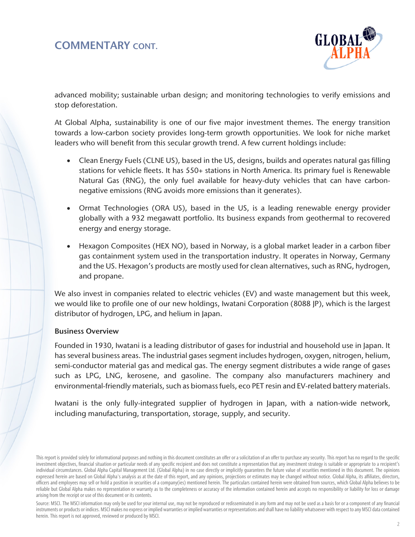## COMMENTARY CONT.



advanced mobility; sustainable urban design; and monitoring technologies to verify emissions and stop deforestation.

At Global Alpha, sustainability is one of our five major investment themes. The energy transition towards a low-carbon society provides long-term growth opportunities. We look for niche market leaders who will benefit from this secular growth trend. A few current holdings include:

- Clean Energy Fuels (CLNE US), based in the US, designs, builds and operates natural gas filling stations for vehicle fleets. It has 550+ stations in North America. Its primary fuel is Renewable Natural Gas (RNG), the only fuel available for heavy-duty vehicles that can have carbonnegative emissions (RNG avoids more emissions than it generates).
- Ormat Technologies (ORA US), based in the US, is a leading renewable energy provider globally with a 932 megawatt portfolio. Its business expands from geothermal to recovered energy and energy storage.
- Hexagon Composites (HEX NO), based in Norway, is a global market leader in a carbon fiber gas containment system used in the transportation industry. It operates in Norway, Germany and the US. Hexagon's products are mostly used for clean alternatives, such as RNG, hydrogen, and propane.

We also invest in companies related to electric vehicles (EV) and waste management but this week, we would like to profile one of our new holdings, Iwatani Corporation (8088 JP), which is the largest distributor of hydrogen, LPG, and helium in Japan.

#### Business Overview

Founded in 1930, Iwatani is a leading distributor of gases for industrial and household use in Japan. It has several business areas. The industrial gases segment includes hydrogen, oxygen, nitrogen, helium, semi-conductor material gas and medical gas. The energy segment distributes a wide range of gases such as LPG, LNG, kerosene, and gasoline. The company also manufacturers machinery and environmental-friendly materials, such as biomass fuels, eco PET resin and EV-related battery materials.

Iwatani is the only fully-integrated supplier of hydrogen in Japan, with a nation-wide network, including manufacturing, transportation, storage, supply, and security.

Source: MSCI. The MSCI information may only be used for your internal use, may not be reproduced or redisseminated in any form and may not be used as a basis for or a component of any financial instruments or products or indices. MSCI makes no express or implied warranties or implied warranties or representations and shall have no liability whatsoever with respect to any MSCI data contained herein. This report is not approved, reviewed or produced by MSCI.

This report is provided solely for informational purposes and nothing in this document constitutes an offer or a solicitation of an offer to purchase any security. This report has no regard to the specific investment objectives, financial situation or particular needs of any specific recipient and does not constitute a representation that any investment strategy is suitable or appropriate to a recipient's individual circumstances. Global Alpha Capital Management Ltd. (Global Alpha) in no case directly or implicitly guarantees the future value of securities mentioned in this document. The opinions expressed herein are based on Global Alpha's analysis as at the date of this report, and any opinions, projections or estimates may be changed without notice. Global Alpha, its affiliates, directors, officers and employees may sell or hold a position in securities of a company(ies) mentioned herein. The particulars contained herein were obtained from sources, which Global Alpha believes to be reliable but Global Alpha makes no representation or warranty as to the completeness or accuracy of the information contained herein and accepts no responsibility or liability for loss or damage arising from the receipt or use of this document or its contents.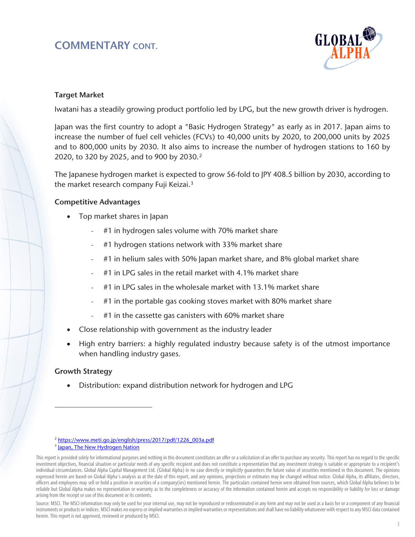# COMMENTARY CONT.



#### Target Market

Iwatani has a steadily growing product portfolio led by LPG, but the new growth driver is hydrogen.

Japan was the first country to adopt a "Basic Hydrogen Strategy" as early as in 2017. Japan aims to increase the number of fuel cell vehicles (FCVs) to 40,000 units by 2020, to 200,000 units by 2025 and to 800,000 units by 2030. It also aims to increase the number of hydrogen stations to 160 by [2](#page-2-0)020, to 320 by 2025, and to 900 by 2030.<sup>2</sup>

The Japanese hydrogen market is expected to grow 56-fold to JPY 408.5 billion by 2030, according to the market research company Fuji Keizai.<sup>[3](#page-2-1)</sup>

#### Competitive Advantages

- Top market shares in Japan
	- #1 in hydrogen sales volume with 70% market share
	- #1 hydrogen stations network with 33% market share
	- #1 in helium sales with 50% Japan market share, and 8% global market share
	- #1 in LPG sales in the retail market with 4.1% market share
	- #1 in LPG sales in the wholesale market with 13.1% market share
	- #1 in the portable gas cooking stoves market with 80% market share
	- #1 in the cassette gas canisters with 60% market share
- Close relationship with government as the industry leader
- High entry barriers: a highly regulated industry because safety is of the utmost importance when handling industry gases.

### Growth Strategy

 $\overline{a}$ 

• Distribution: expand distribution network for hydrogen and LPG

<sup>&</sup>lt;sup>2</sup> [https://www.meti.go.jp/english/press/2017/pdf/1226\\_003a.pdf](https://www.meti.go.jp/english/press/2017/pdf/1226_003a.pdf) <sup>3</sup> [Japan, The New Hydrogen](https://www.s-ge.com/en/article/global-opportunities/20201-c5-japan-hydrogen-market#:%7E:text=According%20to%20a%202019%20study,CHF%203.7%20billion)%20by%202030.&text=This%20market%20is%20expected%20to,CHF%20328%20million)%20by%202030.) Nation

<span id="page-2-1"></span><span id="page-2-0"></span>This report is provided solely for informational purposes and nothing in this document constitutes an offer or a solicitation of an offer to purchase any security. This report has no regard to the specific investment objectives, financial situation or particular needs of any specific recipient and does not constitute a representation that any investment strategy is suitable or appropriate to a recipient's individual circumstances. Global Alpha Capital Management Ltd. (Global Alpha) in no case directly or implicitly guarantees the future value of securities mentioned in this document. The opinions expressed herein are based on Global Alpha's analysis as at the date of this report, and any opinions, projections or estimates may be changed without notice. Global Alpha, its affiliates, directors, officers and employees may sell or hold a position in securities of a company(ies) mentioned herein. The particulars contained herein were obtained from sources, which Global Alpha believes to be reliable but Global Alpha makes no representation or warranty as to the completeness or accuracy of the information contained herein and accepts no responsibility or liability for loss or damage arising from the receipt or use of this document or its contents.

Source: MSCI. The MSCI information may only be used for your internal use, may not be reproduced or redisseminated in any form and may not be used as a basis for or a component of any financial instruments or products or indices. MSCI makes no express or implied warranties or implied warranties or representations and shall have no liability whatsoever with respect to any MSCI data contained herein. This report is not approved, reviewed or produced by MSCI.